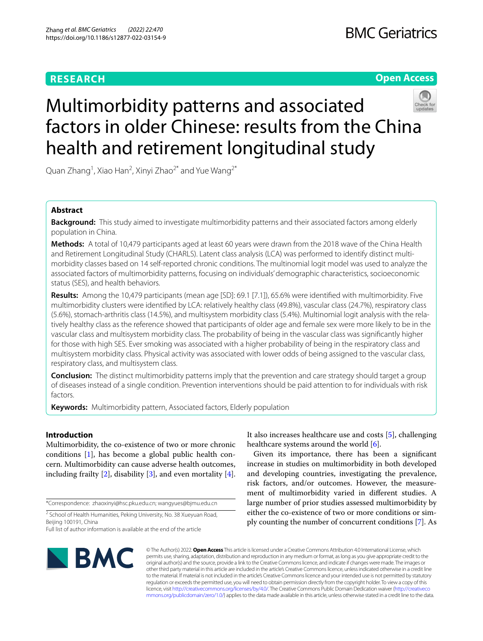# **RESEARCH**

# **Open Access**



# Multimorbidity patterns and associated factors in older Chinese: results from the China health and retirement longitudinal study

Quan Zhang<sup>1</sup>, Xiao Han<sup>2</sup>, Xinyi Zhao<sup>2\*</sup> and Yue Wang<sup>2\*</sup>

# **Abstract**

**Background:** This study aimed to investigate multimorbidity patterns and their associated factors among elderly population in China.

**Methods:** A total of 10,479 participants aged at least 60 years were drawn from the 2018 wave of the China Health and Retirement Longitudinal Study (CHARLS). Latent class analysis (LCA) was performed to identify distinct multimorbidity classes based on 14 self-reported chronic conditions. The multinomial logit model was used to analyze the associated factors of multimorbidity patterns, focusing on individuals' demographic characteristics, socioeconomic status (SES), and health behaviors.

**Results:** Among the 10,479 participants (mean age [SD]: 69.1 [7.1]), 65.6% were identifed with multimorbidity. Five multimorbidity clusters were identifed by LCA: relatively healthy class (49.8%), vascular class (24.7%), respiratory class (5.6%), stomach-arthritis class (14.5%), and multisystem morbidity class (5.4%). Multinomial logit analysis with the relatively healthy class as the reference showed that participants of older age and female sex were more likely to be in the vascular class and multisystem morbidity class. The probability of being in the vascular class was signifcantly higher for those with high SES. Ever smoking was associated with a higher probability of being in the respiratory class and multisystem morbidity class. Physical activity was associated with lower odds of being assigned to the vascular class, respiratory class, and multisystem class.

**Conclusion:** The distinct multimorbidity patterns imply that the prevention and care strategy should target a group of diseases instead of a single condition. Prevention interventions should be paid attention to for individuals with risk factors.

**Keywords:** Multimorbidity pattern, Associated factors, Elderly population

# **Introduction**

Multimorbidity, the co-existence of two or more chronic conditions [\[1\]](#page-7-0), has become a global public health concern. Multimorbidity can cause adverse health outcomes, including frailty  $[2]$  $[2]$ , disability  $[3]$  $[3]$ , and even mortality  $[4]$  $[4]$ .

\*Correspondence: zhaoxinyi@hsc.pku.edu.cn; wangyues@bjmu.edu.cn

<sup>2</sup> School of Health Humanities, Peking University, No. 38 Xueyuan Road, Beijing 100191, China

Full list of author information is available at the end of the article

It also increases healthcare use and costs [[5\]](#page-8-3), challenging healthcare systems around the world [\[6\]](#page-8-4).

Given its importance, there has been a signifcant increase in studies on multimorbidity in both developed and developing countries, investigating the prevalence, risk factors, and/or outcomes. However, the measurement of multimorbidity varied in diferent studies. A large number of prior studies assessed multimorbidity by either the co-existence of two or more conditions or simply counting the number of concurrent conditions [\[7\]](#page-8-5). As



© The Author(s) 2022. **Open Access** This article is licensed under a Creative Commons Attribution 4.0 International License, which permits use, sharing, adaptation, distribution and reproduction in any medium or format, as long as you give appropriate credit to the original author(s) and the source, provide a link to the Creative Commons licence, and indicate if changes were made. The images or other third party material in this article are included in the article's Creative Commons licence, unless indicated otherwise in a credit line to the material. If material is not included in the article's Creative Commons licence and your intended use is not permitted by statutory regulation or exceeds the permitted use, you will need to obtain permission directly from the copyright holder. To view a copy of this licence, visit [http://creativecommons.org/licenses/by/4.0/.](http://creativecommons.org/licenses/by/4.0/) The Creative Commons Public Domain Dedication waiver ([http://creativeco](http://creativecommons.org/publicdomain/zero/1.0/) [mmons.org/publicdomain/zero/1.0/](http://creativecommons.org/publicdomain/zero/1.0/)) applies to the data made available in this article, unless otherwise stated in a credit line to the data.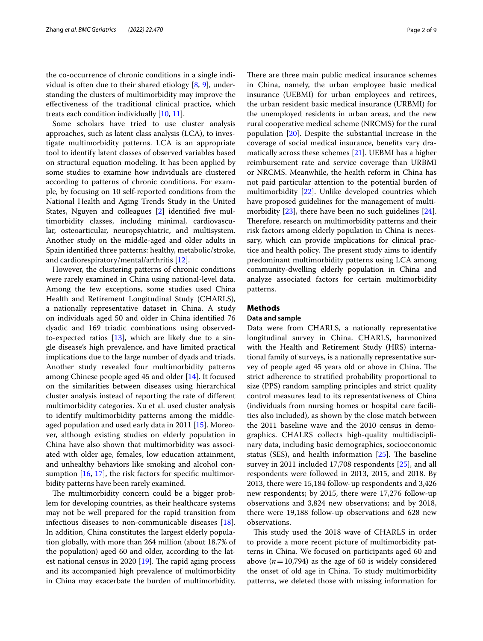the co-occurrence of chronic conditions in a single individual is often due to their shared etiology [\[8](#page-8-6), [9\]](#page-8-7), understanding the clusters of multimorbidity may improve the efectiveness of the traditional clinical practice, which treats each condition individually [\[10](#page-8-8), [11](#page-8-9)].

Some scholars have tried to use cluster analysis approaches, such as latent class analysis (LCA), to investigate multimorbidity patterns. LCA is an appropriate tool to identify latent classes of observed variables based on structural equation modeling. It has been applied by some studies to examine how individuals are clustered according to patterns of chronic conditions. For example, by focusing on 10 self-reported conditions from the National Health and Aging Trends Study in the United States, Nguyen and colleagues [\[2\]](#page-8-0) identified five multimorbidity classes, including minimal, cardiovascular, osteoarticular, neuropsychiatric, and multisystem. Another study on the middle-aged and older adults in Spain identifed three patterns: healthy, metabolic/stroke, and cardiorespiratory/mental/arthritis [\[12\]](#page-8-10).

However, the clustering patterns of chronic conditions were rarely examined in China using national-level data. Among the few exceptions, some studies used China Health and Retirement Longitudinal Study (CHARLS), a nationally representative dataset in China. A study on individuals aged 50 and older in China identifed 76 dyadic and 169 triadic combinations using observedto-expected ratios  $[13]$  $[13]$ , which are likely due to a single disease's high prevalence, and have limited practical implications due to the large number of dyads and triads. Another study revealed four multimorbidity patterns among Chinese people aged 45 and older [[14\]](#page-8-12). It focused on the similarities between diseases using hierarchical cluster analysis instead of reporting the rate of diferent multimorbidity categories. Xu et al. used cluster analysis to identify multimorbidity patterns among the middleaged population and used early data in 2011 [[15\]](#page-8-13). Moreover, although existing studies on elderly population in China have also shown that multimorbidity was associated with older age, females, low education attainment, and unhealthy behaviors like smoking and alcohol consumption  $[16, 17]$  $[16, 17]$  $[16, 17]$  $[16, 17]$ , the risk factors for specific multimorbidity patterns have been rarely examined.

The multimorbidity concern could be a bigger problem for developing countries, as their healthcare systems may not be well prepared for the rapid transition from infectious diseases to non-communicable diseases [\[18](#page-8-16)]. In addition, China constitutes the largest elderly population globally, with more than 264 million (about 18.7% of the population) aged 60 and older, according to the latest national census in 2020  $[19]$  $[19]$ . The rapid aging process and its accompanied high prevalence of multimorbidity in China may exacerbate the burden of multimorbidity. There are three main public medical insurance schemes in China, namely, the urban employee basic medical insurance (UEBMI) for urban employees and retirees, the urban resident basic medical insurance (URBMI) for the unemployed residents in urban areas, and the new rural cooperative medical scheme (NRCMS) for the rural population [\[20](#page-8-18)]. Despite the substantial increase in the coverage of social medical insurance, benefts vary dramatically across these schemes [\[21\]](#page-8-19). UEBMI has a higher reimbursement rate and service coverage than URBMI or NRCMS. Meanwhile, the health reform in China has not paid particular attention to the potential burden of multimorbidity [[22](#page-8-20)]. Unlike developed countries which have proposed guidelines for the management of multimorbidity [[23\]](#page-8-21), there have been no such guidelines [\[24](#page-8-22)]. Therefore, research on multimorbidity patterns and their risk factors among elderly population in China is necessary, which can provide implications for clinical practice and health policy. The present study aims to identify predominant multimorbidity patterns using LCA among community-dwelling elderly population in China and analyze associated factors for certain multimorbidity patterns.

# **Methods**

## **Data and sample**

Data were from CHARLS, a nationally representative longitudinal survey in China. CHARLS, harmonized with the Health and Retirement Study (HRS) international family of surveys, is a nationally representative survey of people aged 45 years old or above in China. The strict adherence to stratifed probability proportional to size (PPS) random sampling principles and strict quality control measures lead to its representativeness of China (individuals from nursing homes or hospital care facilities also included), as shown by the close match between the 2011 baseline wave and the 2010 census in demographics. CHALRS collects high-quality multidisciplinary data, including basic demographics, socioeconomic status (SES), and health information  $[25]$  $[25]$  $[25]$ . The baseline survey in 2011 included 17,708 respondents [[25\]](#page-8-23), and all respondents were followed in 2013, 2015, and 2018. By 2013, there were 15,184 follow-up respondents and 3,426 new respondents; by 2015, there were 17,276 follow-up observations and 3,824 new observations; and by 2018, there were 19,188 follow-up observations and 628 new observations.

This study used the 2018 wave of CHARLS in order to provide a more recent picture of multimorbidity patterns in China. We focused on participants aged 60 and above  $(n=10,794)$  as the age of 60 is widely considered the onset of old age in China. To study multimorbidity patterns, we deleted those with missing information for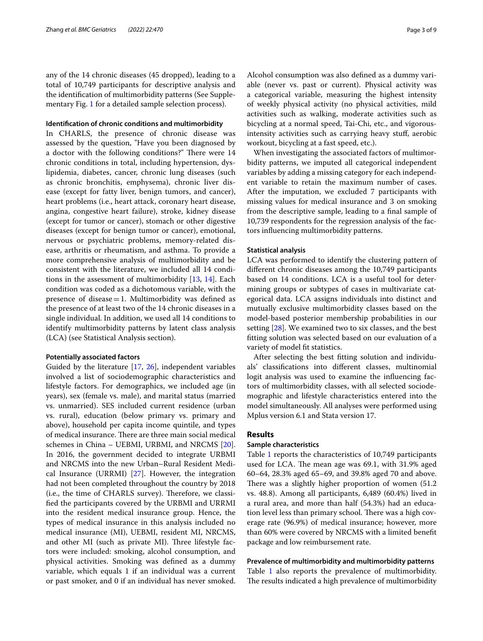any of the 14 chronic diseases (45 dropped), leading to a total of 10,749 participants for descriptive analysis and the identifcation of multimorbidity patterns (See Supplementary Fig. [1](#page-7-1) for a detailed sample selection process).

# **Identifcation of chronic conditions and multimorbidity**

In CHARLS, the presence of chronic disease was assessed by the question, "Have you been diagnosed by a doctor with the following conditions?" There were 14 chronic conditions in total, including hypertension, dyslipidemia, diabetes, cancer, chronic lung diseases (such as chronic bronchitis, emphysema), chronic liver disease (except for fatty liver, benign tumors, and cancer), heart problems (i.e., heart attack, coronary heart disease, angina, congestive heart failure), stroke, kidney disease (except for tumor or cancer), stomach or other digestive diseases (except for benign tumor or cancer), emotional, nervous or psychiatric problems, memory-related disease, arthritis or rheumatism, and asthma. To provide a more comprehensive analysis of multimorbidity and be consistent with the literature, we included all 14 conditions in the assessment of multimorbidity [[13,](#page-8-11) [14\]](#page-8-12). Each condition was coded as a dichotomous variable, with the presence of disease  $=1$ . Multimorbidity was defined as the presence of at least two of the 14 chronic diseases in a single individual. In addition, we used all 14 conditions to identify multimorbidity patterns by latent class analysis (LCA) (see Statistical Analysis section).

# **Potentially associated factors**

Guided by the literature [[17,](#page-8-15) [26](#page-8-24)], independent variables involved a list of sociodemographic characteristics and lifestyle factors. For demographics, we included age (in years), sex (female vs. male), and marital status (married vs. unmarried). SES included current residence (urban vs. rural), education (below primary vs. primary and above), household per capita income quintile, and types of medical insurance. There are three main social medical schemes in China – UEBMI, URBMI, and NRCMS [\[20](#page-8-18)]. In 2016, the government decided to integrate URBMI and NRCMS into the new Urban–Rural Resident Medical Insurance (URRMI) [\[27](#page-8-25)]. However, the integration had not been completed throughout the country by 2018 (i.e., the time of CHARLS survey). Therefore, we classifed the participants covered by the URBMI and URRMI into the resident medical insurance group. Hence, the types of medical insurance in this analysis included no medical insurance (MI), UEBMI, resident MI, NRCMS, and other MI (such as private MI). Three lifestyle factors were included: smoking, alcohol consumption, and physical activities. Smoking was defned as a dummy variable, which equals 1 if an individual was a current or past smoker, and 0 if an individual has never smoked. Alcohol consumption was also defned as a dummy variable (never vs. past or current). Physical activity was a categorical variable, measuring the highest intensity of weekly physical activity (no physical activities, mild activities such as walking, moderate activities such as bicycling at a normal speed, Tai-Chi, etc., and vigorousintensity activities such as carrying heavy stuf, aerobic workout, bicycling at a fast speed, etc.).

When investigating the associated factors of multimorbidity patterns, we imputed all categorical independent variables by adding a missing category for each independent variable to retain the maximum number of cases. After the imputation, we excluded 7 participants with missing values for medical insurance and 3 on smoking from the descriptive sample, leading to a fnal sample of 10,739 respondents for the regression analysis of the factors infuencing multimorbidity patterns.

# **Statistical analysis**

LCA was performed to identify the clustering pattern of diferent chronic diseases among the 10,749 participants based on 14 conditions. LCA is a useful tool for determining groups or subtypes of cases in multivariate categorical data. LCA assigns individuals into distinct and mutually exclusive multimorbidity classes based on the model-based posterior membership probabilities in our setting [[28\]](#page-8-26). We examined two to six classes, and the best ftting solution was selected based on our evaluation of a variety of model ft statistics.

After selecting the best ftting solution and individuals' classifcations into diferent classes, multinomial logit analysis was used to examine the infuencing factors of multimorbidity classes, with all selected sociodemographic and lifestyle characteristics entered into the model simultaneously. All analyses were performed using Mplus version 6.1 and Stata version 17.

# **Results**

## **Sample characteristics**

Table [1](#page-3-0) reports the characteristics of 10,749 participants used for LCA. The mean age was 69.1, with 31.9% aged 60–64, 28.3% aged 65–69, and 39.8% aged 70 and above. There was a slightly higher proportion of women (51.2) vs. 48.8). Among all participants, 6,489 (60.4%) lived in a rural area, and more than half (54.3%) had an education level less than primary school. There was a high coverage rate (96.9%) of medical insurance; however, more than 60% were covered by NRCMS with a limited beneft package and low reimbursement rate.

## **Prevalence of multimorbidity and multimorbidity patterns**

Table [1](#page-3-0) also reports the prevalence of multimorbidity. The results indicated a high prevalence of multimorbidity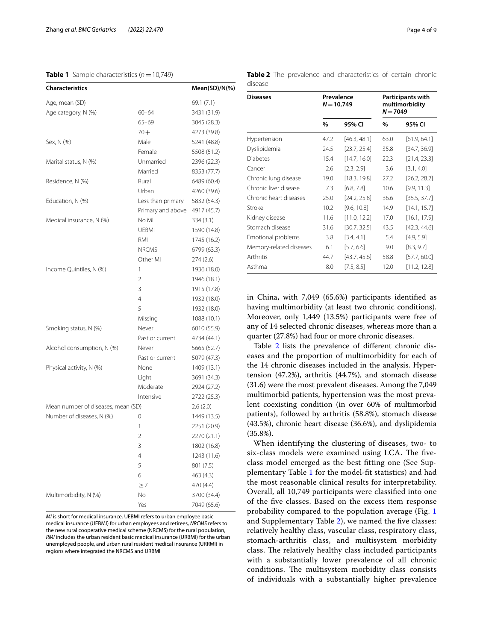# <span id="page-3-0"></span>**Table 1** Sample characteristics  $(n=10,749)$

| <b>Characteristics</b>             |                   | Mean(SD)/N(%) |  |  |
|------------------------------------|-------------------|---------------|--|--|
| Age, mean (SD)                     |                   | 69.1 (7.1)    |  |  |
| Age category, N (%)                | $60 - 64$         | 3431 (31.9)   |  |  |
|                                    | $65 - 69$         | 3045 (28.3)   |  |  |
|                                    | $70 +$            | 4273 (39.8)   |  |  |
| Sex, N (%)                         | Male              | 5241 (48.8)   |  |  |
|                                    | Female            | 5508 (51.2)   |  |  |
| Marital status, N (%)              | Unmarried         | 2396 (22.3)   |  |  |
|                                    | Married           | 8353 (77.7)   |  |  |
| Residence, N (%)                   | Rural             | 6489 (60.4)   |  |  |
|                                    | Urban             | 4260 (39.6)   |  |  |
| Education, N (%)                   | Less than primary | 5832 (54.3)   |  |  |
|                                    | Primary and above | 4917 (45.7)   |  |  |
| Medical insurance, N (%)           | No MI             | 334 (3.1)     |  |  |
|                                    | <b>UEBMI</b>      | 1590 (14.8)   |  |  |
|                                    | RMI               | 1745 (16.2)   |  |  |
|                                    | <b>NRCMS</b>      | 6799 (63.3)   |  |  |
|                                    | Other MI          | 274 (2.6)     |  |  |
| Income Quintiles, N (%)            | 1                 | 1936 (18.0)   |  |  |
|                                    | 2                 | 1946 (18.1)   |  |  |
|                                    | 3                 | 1915 (17.8)   |  |  |
|                                    | $\overline{4}$    | 1932 (18.0)   |  |  |
|                                    | 5                 | 1932 (18.0)   |  |  |
|                                    | Missing           | 1088 (10.1)   |  |  |
| Smoking status, N (%)              | Never             | 6010 (55.9)   |  |  |
|                                    | Past or current   | 4734 (44.1)   |  |  |
| Alcohol consumption, N (%)         | Never             | 5665 (52.7)   |  |  |
|                                    | Past or current   | 5079 (47.3)   |  |  |
| Physical activity, N (%)           | None              | 1409 (13.1)   |  |  |
|                                    | Light             | 3691 (34.3)   |  |  |
|                                    | Moderate          | 2924 (27.2)   |  |  |
|                                    | Intensive         | 2722 (25.3)   |  |  |
| Mean number of diseases, mean (SD) |                   | 2.6(2.0)      |  |  |
| Number of diseases, N (%)          | 0                 | 1449 (13.5)   |  |  |
|                                    | 1                 | 2251 (20.9)   |  |  |
|                                    | $\overline{2}$    | 2270 (21.1)   |  |  |
|                                    | 3                 | 1802 (16.8)   |  |  |
|                                    | 4                 | 1243 (11.6)   |  |  |
|                                    | 5                 | 801 (7.5)     |  |  |
|                                    | 6                 | 463 (4.3)     |  |  |
|                                    | $\geq 7$          | 470 (4.4)     |  |  |
| Multimorbidity, N (%)              | No                | 3700 (34.4)   |  |  |
|                                    | Yes               | 7049 (65.6)   |  |  |

*MI* is short for medical insurance. UEBMI refers to urban employee basic medical insurance (UEBMI) for urban employees and retirees, *NRCMS* refers to the new rural cooperative medical scheme (NRCMS) for the rural population, *RMI* includes the urban resident basic medical insurance (URBMI) for the urban unemployed people, and urban rural resident medical insurance (URRMI) in regions where integrated the NRCMS and URBMI

<span id="page-3-1"></span>

|         |  | Table 2 The prevalence and characteristics of certain chronic |  |  |
|---------|--|---------------------------------------------------------------|--|--|
| disease |  |                                                               |  |  |

| <b>Diseases</b>         | Prevalence<br>$N = 10,749$ |              | Participants with<br>multimorbidity<br>$N = 7049$ |              |  |
|-------------------------|----------------------------|--------------|---------------------------------------------------|--------------|--|
|                         | $\%$<br>95% CI             |              | $\frac{0}{0}$                                     | 95% CI       |  |
| Hypertension            | 47.2                       | [46.3, 48.1] | 63.0                                              | [61.9, 64.1] |  |
| Dyslipidemia            | 24.5                       | [23.7, 25.4] | 35.8                                              | [34.7, 36.9] |  |
| <b>Diabetes</b>         | 15.4                       | [14.7, 16.0] | 22.3                                              | [21.4, 23.3] |  |
| Cancer                  | 2.6                        | [2.3, 2.9]   | 3.6                                               | [3.1, 4.0]   |  |
| Chronic lung disease    | 19.0                       | [18.3, 19.8] | 27.2                                              | [26.2, 28.2] |  |
| Chronic liver disease   | 7.3                        | [6.8, 7.8]   | 10.6                                              | [9.9, 11.3]  |  |
| Chronic heart diseases  | 25.0                       | [24.2, 25.8] | 36.6                                              | [35.5, 37.7] |  |
| Stroke                  | 10.2                       | [9.6, 10.8]  | 14.9                                              | [14.1, 15.7] |  |
| Kidney disease          | 11.6                       | [11.0, 12.2] | 17.0                                              | [16.1, 17.9] |  |
| Stomach disease         | 31.6                       | [30.7, 32.5] | 43.5                                              | [42.3, 44.6] |  |
| Emotional problems      | 3.8                        | [3.4, 4.1]   | 5.4                                               | [4.9, 5.9]   |  |
| Memory-related diseases | 6.1                        | [5.7, 6.6]   | 9.0                                               | [8.3, 9.7]   |  |
| Arthritis               | 44.7                       | [43.7, 45.6] | 58.8                                              | [57.7, 60.0] |  |
| Asthma                  | 8.0                        | [7.5, 8.5]   | 12.0                                              | [11.2, 12.8] |  |

in China, with 7,049 (65.6%) participants identifed as having multimorbidity (at least two chronic conditions). Moreover, only 1,449 (13.5%) participants were free of any of 14 selected chronic diseases, whereas more than a quarter (27.8%) had four or more chronic diseases.

Table [2](#page-3-1) lists the prevalence of different chronic diseases and the proportion of multimorbidity for each of the 14 chronic diseases included in the analysis. Hypertension (47.2%), arthritis (44.7%), and stomach disease (31.6) were the most prevalent diseases. Among the 7,049 multimorbid patients, hypertension was the most prevalent coexisting condition (in over 60% of multimorbid patients), followed by arthritis (58.8%), stomach disease (43.5%), chronic heart disease (36.6%), and dyslipidemia (35.8%).

When identifying the clustering of diseases, two- to six-class models were examined using LCA. The fiveclass model emerged as the best ftting one (See Supplementary Table [1](#page-7-1) for the model-ft statistics) and had the most reasonable clinical results for interpretability. Overall, all 10,749 participants were classifed into one of the fve classes. Based on the excess item response probability compared to the population average (Fig. [1](#page-5-0) and Supplementary Table [2](#page-7-1)), we named the fve classes: relatively healthy class, vascular class, respiratory class, stomach-arthritis class, and multisystem morbidity class. The relatively healthy class included participants with a substantially lower prevalence of all chronic conditions. The multisystem morbidity class consists of individuals with a substantially higher prevalence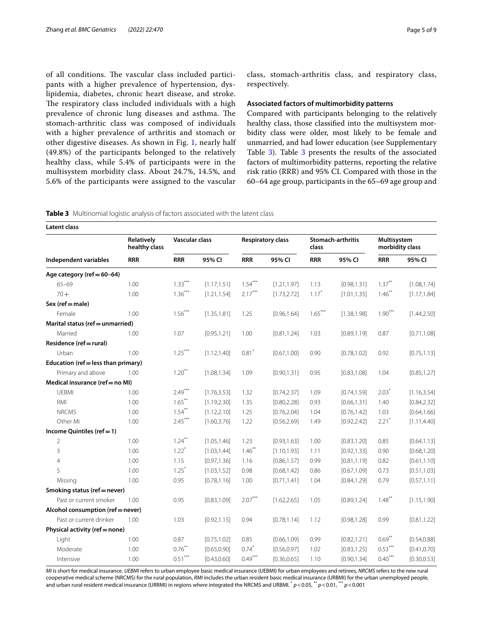of all conditions. The vascular class included participants with a higher prevalence of hypertension, dyslipidemia, diabetes, chronic heart disease, and stroke. The respiratory class included individuals with a high prevalence of chronic lung diseases and asthma. The stomach-arthritic class was composed of individuals with a higher prevalence of arthritis and stomach or other digestive diseases. As shown in Fig. [1,](#page-5-0) nearly half (49.8%) of the participants belonged to the relatively healthy class, while 5.4% of participants were in the multisystem morbidity class. About 24.7%, 14.5%, and 5.6% of the participants were assigned to the vascular class, stomach-arthritis class, and respiratory class, respectively.

## **Associated factors of multimorbidity patterns**

Compared with participants belonging to the relatively healthy class, those classifed into the multisystem morbidity class were older, most likely to be female and unmarried, and had lower education (see Supplementary Table [3\)](#page-7-1). Table [3](#page-4-0) presents the results of the associated factors of multimorbidity patterns, reporting the relative risk ratio (RRR) and 95% CI. Compared with those in the 60–64 age group, participants in the 65–69 age group and

<span id="page-4-0"></span>

| <b>Latent class</b>                 |                             |                     |              |                          |              |                            |              |                                |              |
|-------------------------------------|-----------------------------|---------------------|--------------|--------------------------|--------------|----------------------------|--------------|--------------------------------|--------------|
|                                     | Relatively<br>healthy class | Vascular class      |              | <b>Respiratory class</b> |              | Stomach-arthritis<br>class |              | Multisystem<br>morbidity class |              |
| Independent variables               | <b>RRR</b>                  | <b>RRR</b>          | 95% CI       | <b>RRR</b>               | 95% CI       | <b>RRR</b>                 | 95% CI       | <b>RRR</b>                     | 95% CI       |
| Age category (ref $= 60-64$ )       |                             |                     |              |                          |              |                            |              |                                |              |
| $65 - 69$                           | 1.00                        | $1.33***$           | [1.17, 1.51] | $1.54***$                | [1.21, 1.97] | 1.13                       | [0.98, 1.31] | $1.37***$                      | [1.08, 1.74] |
| $70 +$                              | 1.00                        | $1.36***$           | [1.21, 1.54] | $2.17***$                | [1.73, 2.72] | $1.17*$                    | [1.01, 1.35] | $1.46$ **                      | [1.17, 1.84] |
| $Sex (ref = male)$                  |                             |                     |              |                          |              |                            |              |                                |              |
| Female                              | 1.00                        | $1.56***$           | [1.35, 1.81] | 1.25                     | [0.96, 1.64] | $1.65***$                  | [1.38, 1.98] | $1.90***$                      | [1.44, 2.50] |
| Marital status (ref = unmarried)    |                             |                     |              |                          |              |                            |              |                                |              |
| Married                             | 1.00                        | 1.07                | [0.95, 1.21] | 1.00                     | [0.81, 1.24] | 1.03                       | [0.89, 1.19] | 0.87                           | [0.71, 1.08] |
| Residence (ref = rural)             |                             |                     |              |                          |              |                            |              |                                |              |
| Urban                               | 1.00                        | $1.25***$           | [1.12, 1.40] | 0.81                     | [0.67, 1.00] | 0.90                       | [0.78, 1.02] | 0.92                           | [0.75, 1.13] |
| Education (ref = less than primary) |                             |                     |              |                          |              |                            |              |                                |              |
| Primary and above                   | 1.00                        | $1.20***$           | [1.08, 1.34] | 1.09                     | [0.90, 1.31] | 0.95                       | [0.83, 1.08] | 1.04                           | [0.85, 1.27] |
| Medical insurance (ref = no MI)     |                             |                     |              |                          |              |                            |              |                                |              |
| <b>UEBMI</b>                        | 1.00                        | $2.49***$           | [1.76, 3.53] | 1.32                     | [0.74, 2.37] | 1.09                       | [0.74, 1.59] | $2.03^{\degree}$               | [1.16, 3.54] |
| RMI                                 | 1.00                        | $1.65***$           | [1.19, 2.30] | 1.35                     | [0.80, 2.28] | 0.93                       | [0.66, 1.31] | 1.40                           | [0.84, 2.32] |
| <b>NRCMS</b>                        | 1.00                        | $1.54***$           | [1.12, 2.10] | 1.25                     | [0.76, 2.04] | 1.04                       | [0.76, 1.42] | 1.03                           | [0.64, 1.66] |
| Other MI                            | 1.00                        | $2.45***$           | [1.60, 3.76] | 1.22                     | [0.56, 2.69] | 1.49                       | [0.92, 2.42] | $2.21*$                        | [1.11, 4.40] |
| Income Quintiles ( $ref = 1$ )      |                             |                     |              |                          |              |                            |              |                                |              |
| 2                                   | 1.00                        | $1.24***$           | [1.05, 1.46] | 1.23                     | [0.93, 1.63] | 1.00                       | [0.83, 1.20] | 0.85                           | [0.64, 1.13] |
| 3                                   | 1.00                        | $1.22$ <sup>*</sup> | [1.03, 1.44] | $1.46$ <sup>**</sup>     | [1.10, 1.93] | 1.11                       | [0.92, 1.33] | 0.90                           | [0.68, 1.20] |
| $\overline{4}$                      | 1.00                        | 1.15                | [0.97, 1.36] | 1.16                     | [0.86, 1.57] | 0.99                       | [0.81, 1.19] | 0.82                           | [0.61, 1.10] |
| 5                                   | 1.00                        | 1.25                | [1.03, 1.52] | 0.98                     | [0.68, 1.42] | 0.86                       | [0.67, 1.09] | 0.73                           | [0.51, 1.03] |
| Missing                             | 1.00                        | 0.95                | [0.78, 1.16] | 1.00                     | [0.71, 1.41] | 1.04                       | [0.84, 1.29] | 0.79                           | [0.57, 1.11] |
| Smoking status (ref = never)        |                             |                     |              |                          |              |                            |              |                                |              |
| Past or current smoker              | 1.00                        | 0.95                | [0.83, 1.09] | $2.07***$                | [1.62, 2.65] | 1.05                       | [0.89, 1.24] | 1.48                           | [1.15, 1.90] |
| Alcohol consumption (ref = never)   |                             |                     |              |                          |              |                            |              |                                |              |
| Past or current drinker             | 1.00                        | 1.03                | [0.92, 1.15] | 0.94                     | [0.78, 1.14] | 1.12                       | [0.98, 1.28] | 0.99                           | [0.81, 1.22] |
| Physical activity (ref = none)      |                             |                     |              |                          |              |                            |              |                                |              |
| Light                               | 1.00                        | 0.87                | [0.75, 1.02] | 0.85                     | [0.66, 1.09] | 0.99                       | [0.82, 1.21] | $0.69$ <sup>**</sup>           | [0.54, 0.88] |
| Moderate                            | 1.00                        | $0.76***$           | [0.65, 0.90] | 0.74                     | [0.56, 0.97] | 1.02                       | [0.83, 1.25] | $0.53***$                      | [0.41, 0.70] |
| Intensive                           | 1.00                        | $0.51***$           | [0.43, 0.60] | $0.49***$                | [0.36, 0.65] | 1.10                       | [0.90, 1.34] | $0.40***$                      | [0.30, 0.53] |

*MI* is short for medical insurance. *UEBMI* refers to urban employee basic medical insurance (UEBMI) for urban employees and retirees, *NRCMS* refers to the new rural cooperative medical scheme (NRCMS) for the rural population, *RMI* includes the urban resident basic medical insurance (URBMI) for the urban unemployed people, and urban rural resident medical insurance (URRMI) in regions where integrated the NRCMS and URBMI. \* *p*<0.05, \*\* *p*<0.01, \*\*\* *p*<0.001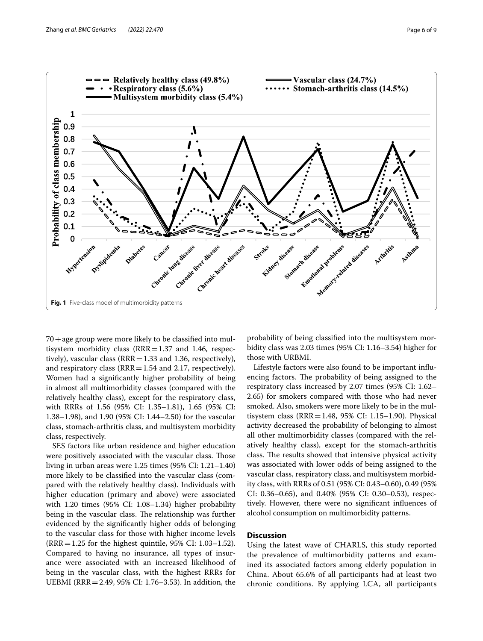

<span id="page-5-0"></span> $70 +$ age group were more likely to be classified into multisystem morbidity class  $(RRR=1.37$  and 1.46, respectively), vascular class ( $RRR = 1.33$  and 1.36, respectively), and respiratory class  $(RRR=1.54$  and 2.17, respectively). Women had a signifcantly higher probability of being in almost all multimorbidity classes (compared with the relatively healthy class), except for the respiratory class, with RRRs of 1.56 (95% CI: 1.35–1.81), 1.65 (95% CI: 1.38–1.98), and 1.90 (95% CI: 1.44–2.50) for the vascular class, stomach-arthritis class, and multisystem morbidity class, respectively.

SES factors like urban residence and higher education were positively associated with the vascular class. Those living in urban areas were 1.25 times (95% CI: 1.21–1.40) more likely to be classifed into the vascular class (compared with the relatively healthy class). Individuals with higher education (primary and above) were associated with 1.20 times (95% CI: 1.08–1.34) higher probability being in the vascular class. The relationship was further evidenced by the signifcantly higher odds of belonging to the vascular class for those with higher income levels (RRR=1.25 for the highest quintile, 95% CI: 1.03–1.52). Compared to having no insurance, all types of insurance were associated with an increased likelihood of being in the vascular class, with the highest RRRs for UEBMI (RRR=2.49, 95% CI: 1.76–3.53). In addition, the probability of being classifed into the multisystem morbidity class was 2.03 times (95% CI: 1.16–3.54) higher for those with URBMI.

Lifestyle factors were also found to be important infuencing factors. The probability of being assigned to the respiratory class increased by 2.07 times (95% CI: 1.62– 2.65) for smokers compared with those who had never smoked. Also, smokers were more likely to be in the multisystem class (RRR=1.48, 95% CI: 1.15–1.90). Physical activity decreased the probability of belonging to almost all other multimorbidity classes (compared with the relatively healthy class), except for the stomach-arthritis class. The results showed that intensive physical activity was associated with lower odds of being assigned to the vascular class, respiratory class, and multisystem morbidity class, with RRRs of 0.51 (95% CI: 0.43–0.60), 0.49 (95% CI: 0.36–0.65), and 0.40% (95% CI: 0.30–0.53), respectively. However, there were no signifcant infuences of alcohol consumption on multimorbidity patterns.

# **Discussion**

Using the latest wave of CHARLS, this study reported the prevalence of multimorbidity patterns and examined its associated factors among elderly population in China. About 65.6% of all participants had at least two chronic conditions. By applying LCA, all participants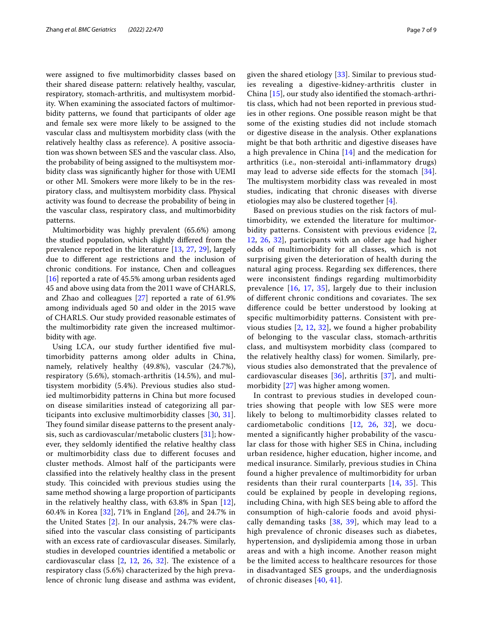were assigned to fve multimorbidity classes based on their shared disease pattern: relatively healthy, vascular, respiratory, stomach-arthritis, and multisystem morbidity. When examining the associated factors of multimorbidity patterns, we found that participants of older age and female sex were more likely to be assigned to the vascular class and multisystem morbidity class (with the relatively healthy class as reference). A positive association was shown between SES and the vascular class. Also, the probability of being assigned to the multisystem morbidity class was signifcantly higher for those with UEMI or other MI. Smokers were more likely to be in the respiratory class, and multisystem morbidity class. Physical activity was found to decrease the probability of being in the vascular class, respiratory class, and multimorbidity patterns.

Multimorbidity was highly prevalent (65.6%) among the studied population, which slightly difered from the prevalence reported in the literature [[13](#page-8-11), [27,](#page-8-25) [29](#page-8-27)], largely due to diferent age restrictions and the inclusion of chronic conditions. For instance, Chen and colleagues [[16\]](#page-8-14) reported a rate of 45.5% among urban residents aged 45 and above using data from the 2011 wave of CHARLS, and Zhao and colleagues [[27\]](#page-8-25) reported a rate of 61.9% among individuals aged 50 and older in the 2015 wave of CHARLS. Our study provided reasonable estimates of the multimorbidity rate given the increased multimorbidity with age.

Using LCA, our study further identifed fve multimorbidity patterns among older adults in China, namely, relatively healthy (49.8%), vascular (24.7%), respiratory (5.6%), stomach-arthritis (14.5%), and multisystem morbidity (5.4%). Previous studies also studied multimorbidity patterns in China but more focused on disease similarities instead of categorizing all participants into exclusive multimorbidity classes [\[30](#page-8-28), [31](#page-8-29)]. They found similar disease patterns to the present analysis, such as cardiovascular/metabolic clusters [[31](#page-8-29)]; however, they seldomly identifed the relative healthy class or multimorbidity class due to diferent focuses and cluster methods. Almost half of the participants were classifed into the relatively healthy class in the present study. This coincided with previous studies using the same method showing a large proportion of participants in the relatively healthy class, with 63.8% in Span [[12](#page-8-10)], 60.4% in Korea [[32\]](#page-8-30), 71% in England [[26\]](#page-8-24), and 24.7% in the United States [\[2](#page-8-0)]. In our analysis, 24.7% were classifed into the vascular class consisting of participants with an excess rate of cardiovascular diseases. Similarly, studies in developed countries identifed a metabolic or cardiovascular class  $[2, 12, 26, 32]$  $[2, 12, 26, 32]$  $[2, 12, 26, 32]$  $[2, 12, 26, 32]$  $[2, 12, 26, 32]$  $[2, 12, 26, 32]$  $[2, 12, 26, 32]$  $[2, 12, 26, 32]$ . The existence of a respiratory class (5.6%) characterized by the high prevalence of chronic lung disease and asthma was evident, given the shared etiology [[33\]](#page-8-31). Similar to previous studies revealing a digestive-kidney-arthritis cluster in China [[15\]](#page-8-13), our study also identifed the stomach-arthritis class, which had not been reported in previous studies in other regions. One possible reason might be that some of the existing studies did not include stomach or digestive disease in the analysis. Other explanations might be that both arthritic and digestive diseases have a high prevalence in China [[14](#page-8-12)] and the medication for arthritics (i.e., non-steroidal anti-infammatory drugs) may lead to adverse side efects for the stomach [[34](#page-8-32)]. The multisystem morbidity class was revealed in most studies, indicating that chronic diseases with diverse etiologies may also be clustered together [[4\]](#page-8-2).

Based on previous studies on the risk factors of multimorbidity, we extended the literature for multimorbidity patterns. Consistent with previous evidence [\[2](#page-8-0), [12,](#page-8-10) [26](#page-8-24), [32\]](#page-8-30), participants with an older age had higher odds of multimorbidity for all classes, which is not surprising given the deterioration of health during the natural aging process. Regarding sex diferences, there were inconsistent fndings regarding multimorbidity prevalence [[16,](#page-8-14) [17,](#page-8-15) [35](#page-8-33)], largely due to their inclusion of different chronic conditions and covariates. The sex diference could be better understood by looking at specifc multimorbidity patterns. Consistent with previous studies  $[2, 12, 32]$  $[2, 12, 32]$  $[2, 12, 32]$  $[2, 12, 32]$  $[2, 12, 32]$ , we found a higher probability of belonging to the vascular class, stomach-arthritis class, and multisystem morbidity class (compared to the relatively healthy class) for women. Similarly, previous studies also demonstrated that the prevalence of cardiovascular diseases [[36\]](#page-8-34), arthritis [[37](#page-8-35)], and multimorbidity [\[27\]](#page-8-25) was higher among women.

In contrast to previous studies in developed countries showing that people with low SES were more likely to belong to multimorbidity classes related to cardiometabolic conditions [[12](#page-8-10), [26](#page-8-24), [32](#page-8-30)], we documented a significantly higher probability of the vascular class for those with higher SES in China, including urban residence, higher education, higher income, and medical insurance. Similarly, previous studies in China found a higher prevalence of multimorbidity for urban residents than their rural counterparts [[14](#page-8-12), [35\]](#page-8-33). This could be explained by people in developing regions, including China, with high SES being able to afford the consumption of high-calorie foods and avoid physically demanding tasks [[38](#page-8-36), [39](#page-8-37)], which may lead to a high prevalence of chronic diseases such as diabetes, hypertension, and dyslipidemia among those in urban areas and with a high income. Another reason might be the limited access to healthcare resources for those in disadvantaged SES groups, and the underdiagnosis of chronic diseases [\[40,](#page-8-38) [41\]](#page-8-39).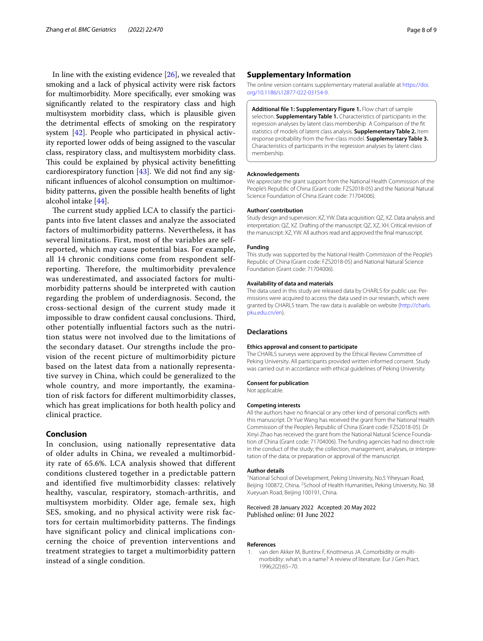In line with the existing evidence  $[26]$  $[26]$ , we revealed that smoking and a lack of physical activity were risk factors for multimorbidity. More specifcally, ever smoking was signifcantly related to the respiratory class and high multisystem morbidity class, which is plausible given the detrimental efects of smoking on the respiratory system [\[42\]](#page-8-40). People who participated in physical activity reported lower odds of being assigned to the vascular class, respiratory class, and multisystem morbidity class. This could be explained by physical activity benefitting cardiorespiratory function  $[43]$  $[43]$ . We did not find any signifcant infuences of alcohol consumption on multimorbidity patterns, given the possible health benefts of light alcohol intake [\[44](#page-8-42)].

The current study applied LCA to classify the participants into fve latent classes and analyze the associated factors of multimorbidity patterns. Nevertheless, it has several limitations. First, most of the variables are selfreported, which may cause potential bias. For example, all 14 chronic conditions come from respondent selfreporting. Therefore, the multimorbidity prevalence was underestimated, and associated factors for multimorbidity patterns should be interpreted with caution regarding the problem of underdiagnosis. Second, the cross-sectional design of the current study made it impossible to draw confident causal conclusions. Third, other potentially infuential factors such as the nutrition status were not involved due to the limitations of the secondary dataset. Our strengths include the provision of the recent picture of multimorbidity picture based on the latest data from a nationally representative survey in China, which could be generalized to the whole country, and more importantly, the examination of risk factors for diferent multimorbidity classes, which has great implications for both health policy and clinical practice.

# **Conclusion**

In conclusion, using nationally representative data of older adults in China, we revealed a multimorbidity rate of 65.6%. LCA analysis showed that different conditions clustered together in a predictable pattern and identified five multimorbidity classes: relatively healthy, vascular, respiratory, stomach-arthritis, and multisystem morbidity. Older age, female sex, high SES, smoking, and no physical activity were risk factors for certain multimorbidity patterns. The findings have significant policy and clinical implications concerning the choice of prevention interventions and treatment strategies to target a multimorbidity pattern instead of a single condition.

# **Supplementary Information**

The online version contains supplementary material available at [https://doi.](https://doi.org/10.1186/s12877-022-03154-9) [org/10.1186/s12877-022-03154-9](https://doi.org/10.1186/s12877-022-03154-9).

<span id="page-7-1"></span>**Additional fle 1: Supplementary Figure 1.** Flow chart of sample selection. **Supplementary Table 1.** Characteristics of participants in the regression analyses by latent class membership A Comparison of the ft statistics of models of latent class analysis. **Supplementary Table 2.** Item response probability from the fve-class model. **Supplementary Table 3.** Characteristics of participants in the regression analyses by latent class membership.

#### **Acknowledgements**

We appreciate the grant support from the National Health Commission of the People's Republic of China (Grant code: FZS2018-05) and the National Natural Science Foundation of China (Grant code: 71704006).

#### **Authors' contribution**

Study design and supervision: XZ, YW. Data acquisition: QZ, XZ. Data analysis and interpretation: QZ, XZ. Drafting of the manuscript: QZ, XZ, XH. Critical revision of the manuscript: XZ, YW. All authors read and approved the fnal manuscript.

## **Funding**

This study was supported by the National Health Commission of the People's Republic of China (Grant code: FZS2018-05) and National Natural Science Foundation (Grant code: 71704006).

### **Availability of data and materials**

The data used in this study are released data by CHARLS for public use. Permissions were acquired to access the data used in our research, which were granted by CHARLS team. The raw data is available on website [\(http://charls.](http://charls.pku.edu.cn/en) [pku.edu.cn/en\)](http://charls.pku.edu.cn/en).

## **Declarations**

#### **Ethics approval and consent to participate**

The CHARLS surveys were approved by the Ethical Review Committee of Peking University. All participants provided written informed consent. Study was carried out in accordance with ethical guidelines of Peking University.

## **Consent for publication**

Not applicable.

## **Competing interests**

All the authors have no fnancial or any other kind of personal conficts with this manuscript. Dr Yue Wang has received the grant from the National Health Commission of the People's Republic of China (Grant code: FZS2018-05). Dr Xinyi Zhao has received the grant from the National Natural Science Foundation of China (Grant code: 71704006). The funding agencies had no direct role in the conduct of the study; the collection, management, analyses, or interpretation of the data; or preparation or approval of the manuscript.

#### **Author details**

<sup>1</sup> National School of Development, Peking University, No.5 Yiheyuan Road, Beijing 100872, China. <sup>2</sup> School of Health Humanities, Peking University, No. 38 Xueyuan Road, Beijing 100191, China.

Received: 28 January 2022 Accepted: 20 May 2022 Published online: 01 June 2022

## **References**

<span id="page-7-0"></span>1. van den Akker M, Buntinx F, Knottnerus JA. Comorbidity or multimorbidity: what's in a name? A review of literature. Eur J Gen Pract. 1996;2(2):65–70.